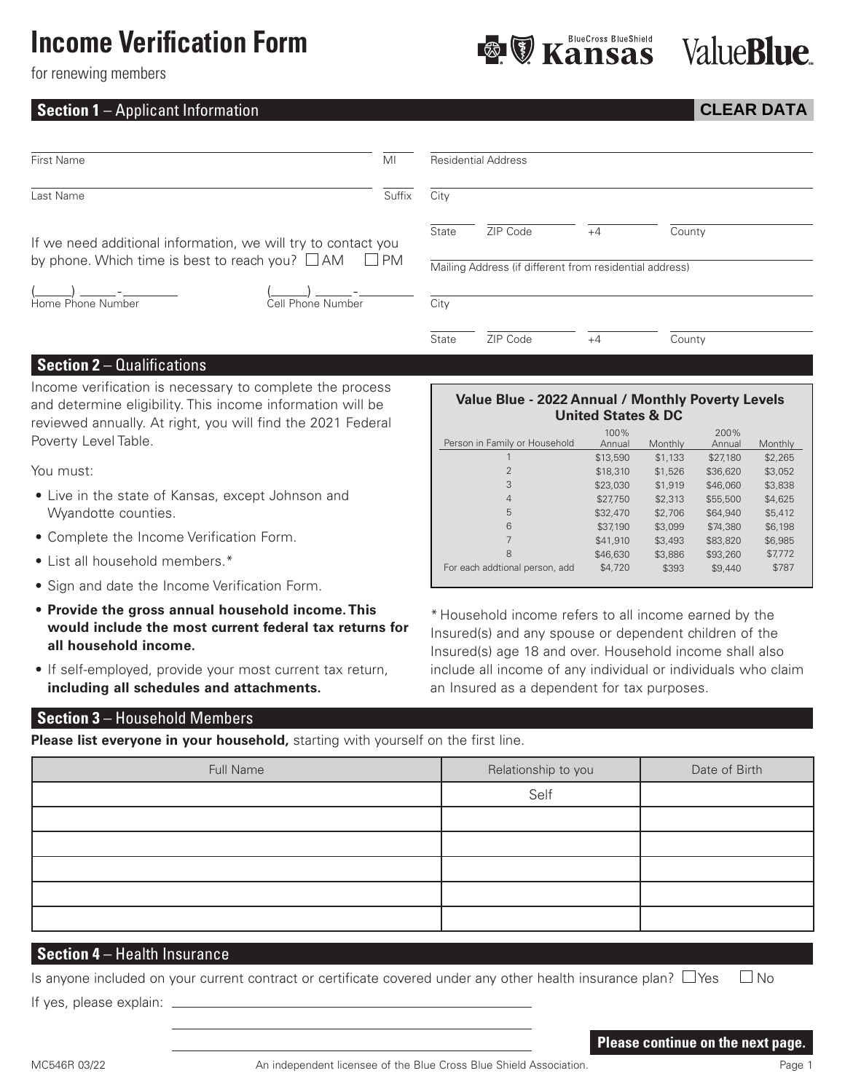## **Income Verification Form**

**BlueCross BlueShield** Kansas

# **ValueBlue**

**CLEAR DATA**

for renewing members

### **Section 1** – Applicant Information

| First Name                                                    | MI        |       | <b>Residential Address</b>                              |      |        |  |
|---------------------------------------------------------------|-----------|-------|---------------------------------------------------------|------|--------|--|
| Last Name                                                     | Suffix    | City  |                                                         |      |        |  |
| If we need additional information, we will try to contact you |           | State | ZIP Code                                                | $+4$ | County |  |
| by phone. Which time is best to reach you? $\Box$ AM          | $\Box$ PM |       | Mailing Address (if different from residential address) |      |        |  |
| Home Phone Number<br>Cell Phone Number                        |           | City  |                                                         |      |        |  |
|                                                               |           | State | ZIP Code                                                | $+4$ | County |  |

#### **Section 2** – Qualifications

Income verification is necessary to complete the process and determine eligibility. This income information will be reviewed annually. At right, you will find the 2021 Federal Poverty Level Table.

You must:

- Live in the state of Kansas, except Johnson and Wyandotte counties.
- Complete the Income Verification Form.
- List all household members.\*
- Sign and date the Income Verification Form.
- **Provide the gross annual household income. This would include the most current federal tax returns for all household income.**
- If self-employed, provide your most current tax return, **including all schedules and attachments.**

#### **Value Blue - 2022 Annual / Monthly Poverty Levels United States & DC**

|                                | 100%     |         | 200%     |         |
|--------------------------------|----------|---------|----------|---------|
| Person in Family or Household  | Annual   | Monthly | Annual   | Monthly |
|                                | \$13,590 | \$1,133 | \$27,180 | \$2,265 |
| $\overline{2}$                 | \$18,310 | \$1,526 | \$36,620 | \$3,052 |
| 3                              | \$23,030 | \$1,919 | \$46,060 | \$3,838 |
| 4                              | \$27,750 | \$2,313 | \$55,500 | \$4,625 |
| 5                              | \$32,470 | \$2,706 | \$64,940 | \$5,412 |
| 6                              | \$37,190 | \$3,099 | \$74,380 | \$6,198 |
|                                | \$41,910 | \$3,493 | \$83,820 | \$6,985 |
| 8                              | \$46,630 | \$3,886 | \$93,260 | \$7,772 |
| For each addtional person, add | \$4,720  | \$393   | \$9,440  | \$787   |

\* Household income refers to all income earned by the Insured(s) and any spouse or dependent children of the Insured(s) age 18 and over. Household income shall also include all income of any individual or individuals who claim an Insured as a dependent for tax purposes.

#### **Section 3** – Household Members

**Please list everyone in your household,** starting with yourself on the first line.

| Full Name | Relationship to you | Date of Birth |
|-----------|---------------------|---------------|
|           | Self                |               |
|           |                     |               |
|           |                     |               |
|           |                     |               |
|           |                     |               |
|           |                     |               |

#### **Section 4** – Health Insurance

| Is anyone included on your current contract or certificate covered under any other health insurance plan? $\Box$ Yes $\Box$ No |  |  |  |
|--------------------------------------------------------------------------------------------------------------------------------|--|--|--|
|--------------------------------------------------------------------------------------------------------------------------------|--|--|--|

If yes, please explain:

#### **Please continue on the next page.**